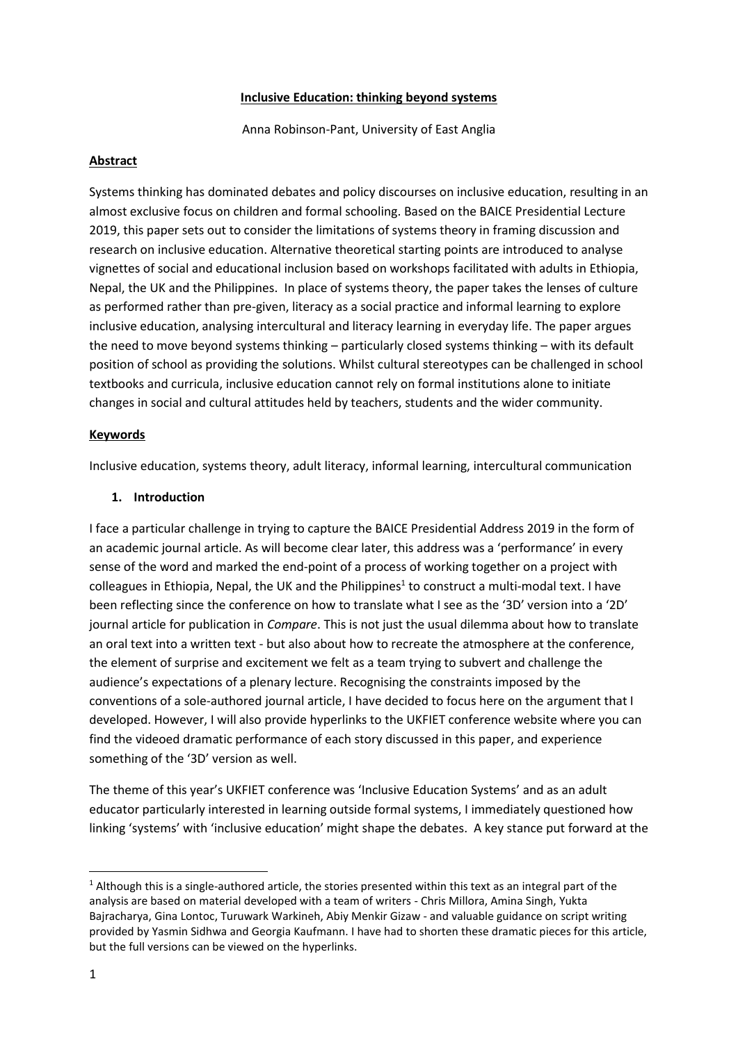#### **Inclusive Education: thinking beyond systems**

Anna Robinson-Pant, University of East Anglia

#### **Abstract**

Systems thinking has dominated debates and policy discourses on inclusive education, resulting in an almost exclusive focus on children and formal schooling. Based on the BAICE Presidential Lecture 2019, this paper sets out to consider the limitations of systems theory in framing discussion and research on inclusive education. Alternative theoretical starting points are introduced to analyse vignettes of social and educational inclusion based on workshops facilitated with adults in Ethiopia, Nepal, the UK and the Philippines. In place of systems theory, the paper takes the lenses of culture as performed rather than pre-given, literacy as a social practice and informal learning to explore inclusive education, analysing intercultural and literacy learning in everyday life. The paper argues the need to move beyond systems thinking – particularly closed systems thinking – with its default position of school as providing the solutions. Whilst cultural stereotypes can be challenged in school textbooks and curricula, inclusive education cannot rely on formal institutions alone to initiate changes in social and cultural attitudes held by teachers, students and the wider community.

### **Keywords**

Inclusive education, systems theory, adult literacy, informal learning, intercultural communication

### **1. Introduction**

I face a particular challenge in trying to capture the BAICE Presidential Address 2019 in the form of an academic journal article. As will become clear later, this address was a 'performance' in every sense of the word and marked the end-point of a process of working together on a project with colleagues in Ethiopia, Nepal, the UK and the Philippines<sup>1</sup> to construct a multi-modal text. I have been reflecting since the conference on how to translate what I see as the '3D' version into a '2D' journal article for publication in *Compare*. This is not just the usual dilemma about how to translate an oral text into a written text - but also about how to recreate the atmosphere at the conference, the element of surprise and excitement we felt as a team trying to subvert and challenge the audience's expectations of a plenary lecture. Recognising the constraints imposed by the conventions of a sole-authored journal article, I have decided to focus here on the argument that I developed. However, I will also provide hyperlinks to the UKFIET conference website where you can find the videoed dramatic performance of each story discussed in this paper, and experience something of the '3D' version as well.

The theme of this year's UKFIET conference was 'Inclusive Education Systems' and as an adult educator particularly interested in learning outside formal systems, I immediately questioned how linking 'systems' with 'inclusive education' might shape the debates. A key stance put forward at the

 $1$  Although this is a single-authored article, the stories presented within this text as an integral part of the analysis are based on material developed with a team of writers - Chris Millora, Amina Singh, Yukta Bajracharya, Gina Lontoc, Turuwark Warkineh, Abiy Menkir Gizaw - and valuable guidance on script writing provided by Yasmin Sidhwa and Georgia Kaufmann. I have had to shorten these dramatic pieces for this article, but the full versions can be viewed on the hyperlinks.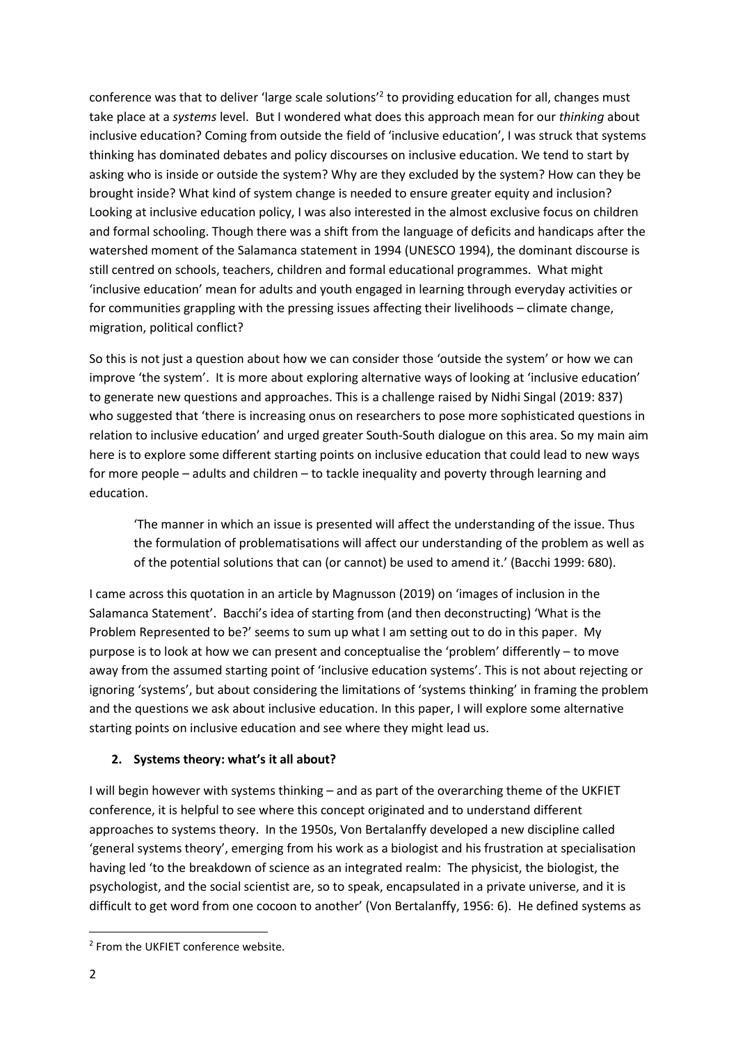conference was that to deliver 'large scale solutions'<sup>2</sup> to providing education for all, changes must take place at a *systems* level. But I wondered what does this approach mean for our *thinking* about inclusive education? Coming from outside the field of 'inclusive education', I was struck that systems thinking has dominated debates and policy discourses on inclusive education. We tend to start by asking who is inside or outside the system? Why are they excluded by the system? How can they be brought inside? What kind of system change is needed to ensure greater equity and inclusion? Looking at inclusive education policy, I was also interested in the almost exclusive focus on children and formal schooling. Though there was a shift from the language of deficits and handicaps after the watershed moment of the Salamanca statement in 1994 (UNESCO 1994), the dominant discourse is still centred on schools, teachers, children and formal educational programmes. What might 'inclusive education' mean for adults and youth engaged in learning through everyday activities or for communities grappling with the pressing issues affecting their livelihoods – climate change, migration, political conflict?

So this is not just a question about how we can consider those 'outside the system' or how we can improve 'the system'. It is more about exploring alternative ways of looking at 'inclusive education' to generate new questions and approaches. This is a challenge raised by Nidhi Singal (2019: 837) who suggested that 'there is increasing onus on researchers to pose more sophisticated questions in relation to inclusive education' and urged greater South-South dialogue on this area. So my main aim here is to explore some different starting points on inclusive education that could lead to new ways for more people – adults and children – to tackle inequality and poverty through learning and education.

'The manner in which an issue is presented will affect the understanding of the issue. Thus the formulation of problematisations will affect our understanding of the problem as well as of the potential solutions that can (or cannot) be used to amend it.' (Bacchi 1999: 680).

I came across this quotation in an article by Magnusson (2019) on 'images of inclusion in the Salamanca Statement'. Bacchi's idea of starting from (and then deconstructing) 'What is the Problem Represented to be?' seems to sum up what I am setting out to do in this paper. My purpose is to look at how we can present and conceptualise the 'problem' differently – to move away from the assumed starting point of 'inclusive education systems'. This is not about rejecting or ignoring 'systems', but about considering the limitations of 'systems thinking' in framing the problem and the questions we ask about inclusive education. In this paper, I will explore some alternative starting points on inclusive education and see where they might lead us.

## **2. Systems theory: what's it all about?**

I will begin however with systems thinking – and as part of the overarching theme of the UKFIET conference, it is helpful to see where this concept originated and to understand different approaches to systems theory. In the 1950s, Von Bertalanffy developed a new discipline called 'general systems theory', emerging from his work as a biologist and his frustration at specialisation having led 'to the breakdown of science as an integrated realm: The physicist, the biologist, the psychologist, and the social scientist are, so to speak, encapsulated in a private universe, and it is difficult to get word from one cocoon to another' (Von Bertalanffy, 1956: 6). He defined systems as

<sup>&</sup>lt;sup>2</sup> From the UKFIET conference website.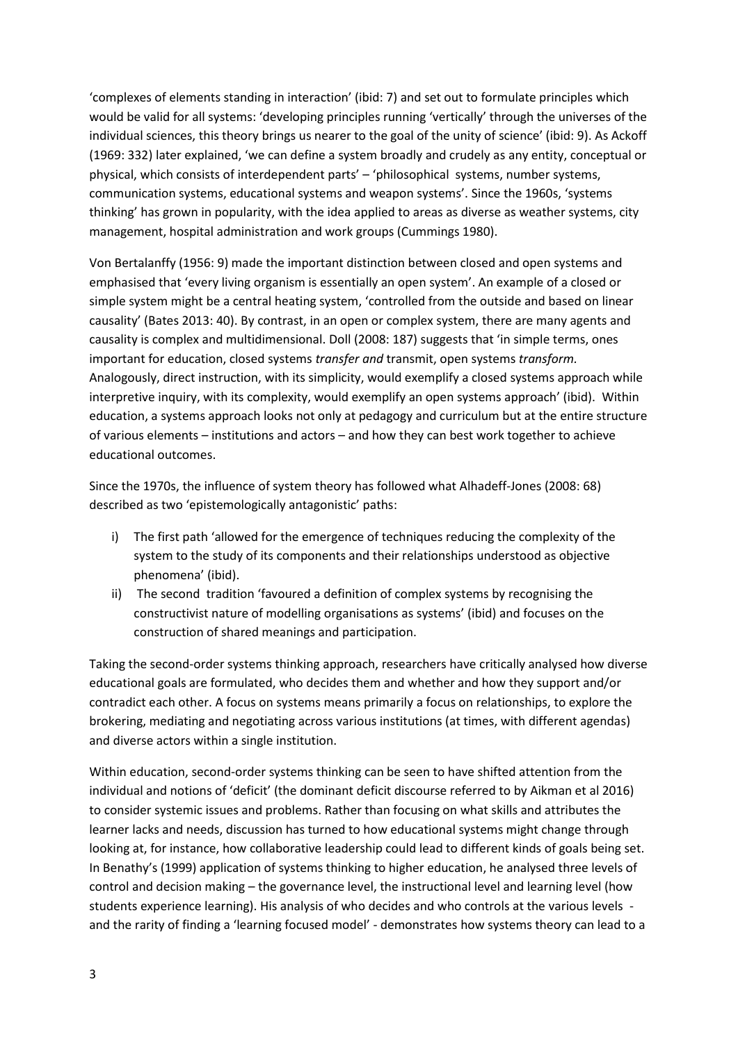'complexes of elements standing in interaction' (ibid: 7) and set out to formulate principles which would be valid for all systems: 'developing principles running 'vertically' through the universes of the individual sciences, this theory brings us nearer to the goal of the unity of science' (ibid: 9). As Ackoff (1969: 332) later explained, 'we can define a system broadly and crudely as any entity, conceptual or physical, which consists of interdependent parts' – 'philosophical systems, number systems, communication systems, educational systems and weapon systems'. Since the 1960s, 'systems thinking' has grown in popularity, with the idea applied to areas as diverse as weather systems, city management, hospital administration and work groups (Cummings 1980).

Von Bertalanffy (1956: 9) made the important distinction between closed and open systems and emphasised that 'every living organism is essentially an open system'. An example of a closed or simple system might be a central heating system, 'controlled from the outside and based on linear causality' (Bates 2013: 40). By contrast, in an open or complex system, there are many agents and causality is complex and multidimensional. Doll (2008: 187) suggests that 'in simple terms, ones important for education, closed systems *transfer and* transmit, open systems *transform.*  Analogously, direct instruction, with its simplicity, would exemplify a closed systems approach while interpretive inquiry, with its complexity, would exemplify an open systems approach' (ibid). Within education, a systems approach looks not only at pedagogy and curriculum but at the entire structure of various elements – institutions and actors – and how they can best work together to achieve educational outcomes.

Since the 1970s, the influence of system theory has followed what Alhadeff-Jones (2008: 68) described as two 'epistemologically antagonistic' paths:

- i) The first path 'allowed for the emergence of techniques reducing the complexity of the system to the study of its components and their relationships understood as objective phenomena' (ibid).
- ii) The second tradition 'favoured a definition of complex systems by recognising the constructivist nature of modelling organisations as systems' (ibid) and focuses on the construction of shared meanings and participation.

Taking the second-order systems thinking approach, researchers have critically analysed how diverse educational goals are formulated, who decides them and whether and how they support and/or contradict each other. A focus on systems means primarily a focus on relationships, to explore the brokering, mediating and negotiating across various institutions (at times, with different agendas) and diverse actors within a single institution.

Within education, second-order systems thinking can be seen to have shifted attention from the individual and notions of 'deficit' (the dominant deficit discourse referred to by Aikman et al 2016) to consider systemic issues and problems. Rather than focusing on what skills and attributes the learner lacks and needs, discussion has turned to how educational systems might change through looking at, for instance, how collaborative leadership could lead to different kinds of goals being set. In Benathy's (1999) application of systems thinking to higher education, he analysed three levels of control and decision making – the governance level, the instructional level and learning level (how students experience learning). His analysis of who decides and who controls at the various levels and the rarity of finding a 'learning focused model' - demonstrates how systems theory can lead to a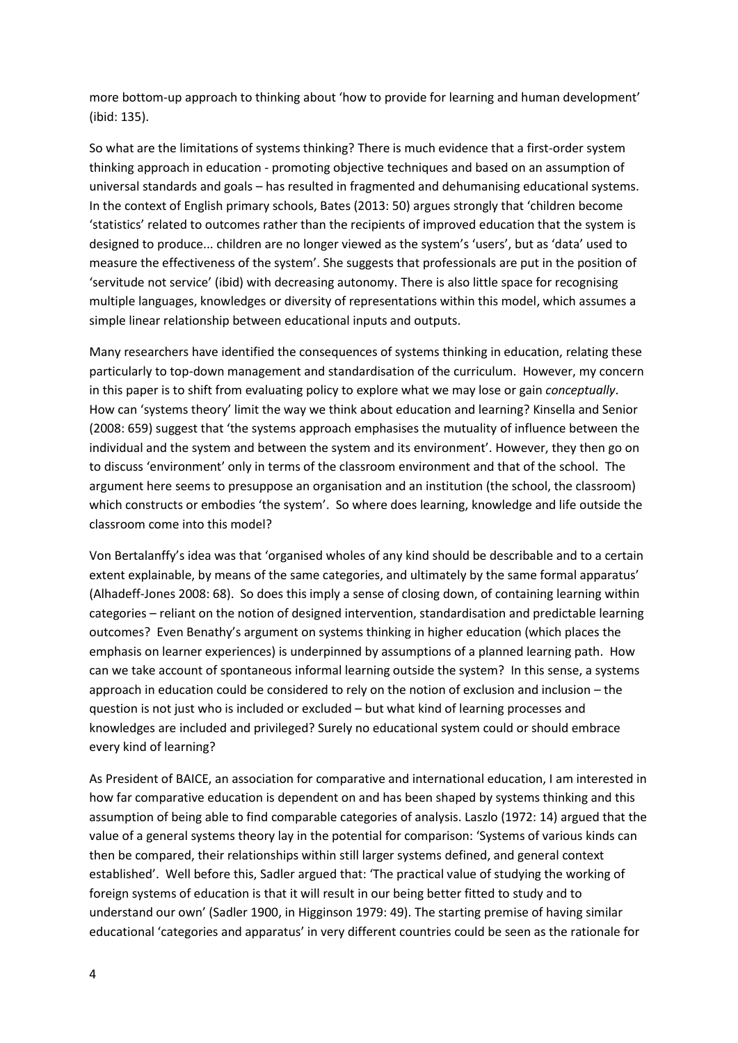more bottom-up approach to thinking about 'how to provide for learning and human development' (ibid: 135).

So what are the limitations of systems thinking? There is much evidence that a first-order system thinking approach in education - promoting objective techniques and based on an assumption of universal standards and goals – has resulted in fragmented and dehumanising educational systems. In the context of English primary schools, Bates (2013: 50) argues strongly that 'children become 'statistics' related to outcomes rather than the recipients of improved education that the system is designed to produce... children are no longer viewed as the system's 'users', but as 'data' used to measure the effectiveness of the system'. She suggests that professionals are put in the position of 'servitude not service' (ibid) with decreasing autonomy. There is also little space for recognising multiple languages, knowledges or diversity of representations within this model, which assumes a simple linear relationship between educational inputs and outputs.

Many researchers have identified the consequences of systems thinking in education, relating these particularly to top-down management and standardisation of the curriculum. However, my concern in this paper is to shift from evaluating policy to explore what we may lose or gain *conceptually*. How can 'systems theory' limit the way we think about education and learning? Kinsella and Senior (2008: 659) suggest that 'the systems approach emphasises the mutuality of influence between the individual and the system and between the system and its environment'. However, they then go on to discuss 'environment' only in terms of the classroom environment and that of the school. The argument here seems to presuppose an organisation and an institution (the school, the classroom) which constructs or embodies 'the system'. So where does learning, knowledge and life outside the classroom come into this model?

Von Bertalanffy's idea was that 'organised wholes of any kind should be describable and to a certain extent explainable, by means of the same categories, and ultimately by the same formal apparatus' (Alhadeff-Jones 2008: 68). So does this imply a sense of closing down, of containing learning within categories – reliant on the notion of designed intervention, standardisation and predictable learning outcomes? Even Benathy's argument on systems thinking in higher education (which places the emphasis on learner experiences) is underpinned by assumptions of a planned learning path. How can we take account of spontaneous informal learning outside the system? In this sense, a systems approach in education could be considered to rely on the notion of exclusion and inclusion – the question is not just who is included or excluded – but what kind of learning processes and knowledges are included and privileged? Surely no educational system could or should embrace every kind of learning?

As President of BAICE, an association for comparative and international education, I am interested in how far comparative education is dependent on and has been shaped by systems thinking and this assumption of being able to find comparable categories of analysis. Laszlo (1972: 14) argued that the value of a general systems theory lay in the potential for comparison: 'Systems of various kinds can then be compared, their relationships within still larger systems defined, and general context established'. Well before this, Sadler argued that: 'The practical value of studying the working of foreign systems of education is that it will result in our being better fitted to study and to understand our own' (Sadler 1900, in Higginson 1979: 49). The starting premise of having similar educational 'categories and apparatus' in very different countries could be seen as the rationale for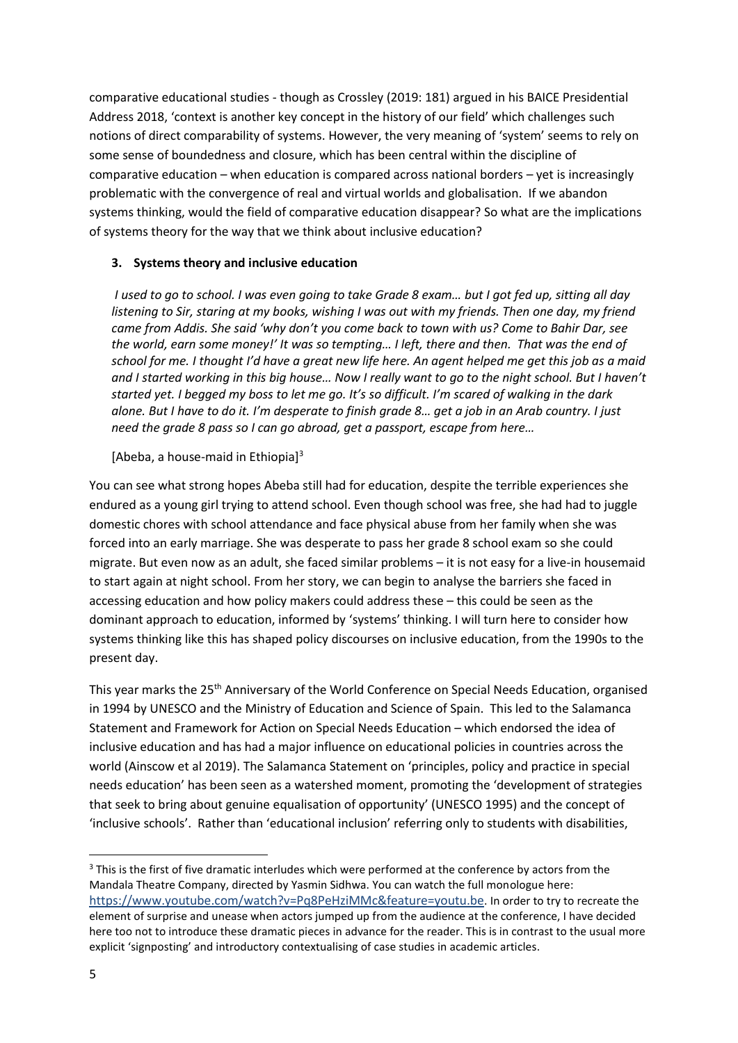comparative educational studies - though as Crossley (2019: 181) argued in his BAICE Presidential Address 2018, 'context is another key concept in the history of our field' which challenges such notions of direct comparability of systems. However, the very meaning of 'system' seems to rely on some sense of boundedness and closure, which has been central within the discipline of comparative education – when education is compared across national borders – yet is increasingly problematic with the convergence of real and virtual worlds and globalisation. If we abandon systems thinking, would the field of comparative education disappear? So what are the implications of systems theory for the way that we think about inclusive education?

## **3. Systems theory and inclusive education**

*I used to go to school. I was even going to take Grade 8 exam… but I got fed up, sitting all day listening to Sir, staring at my books, wishing I was out with my friends. Then one day, my friend came from Addis. She said 'why don't you come back to town with us? Come to Bahir Dar, see the world, earn some money!' It was so tempting… I left, there and then. That was the end of school for me. I thought I'd have a great new life here. An agent helped me get this job as a maid and I started working in this big house… Now I really want to go to the night school. But I haven't started yet. I begged my boss to let me go. It's so difficult. I'm scared of walking in the dark alone. But I have to do it. I'm desperate to finish grade 8… get a job in an Arab country. I just need the grade 8 pass so I can go abroad, get a passport, escape from here…*

### [Abeba, a house-maid in Ethiopia]<sup>3</sup>

You can see what strong hopes Abeba still had for education, despite the terrible experiences she endured as a young girl trying to attend school. Even though school was free, she had had to juggle domestic chores with school attendance and face physical abuse from her family when she was forced into an early marriage. She was desperate to pass her grade 8 school exam so she could migrate. But even now as an adult, she faced similar problems – it is not easy for a live-in housemaid to start again at night school. From her story, we can begin to analyse the barriers she faced in accessing education and how policy makers could address these – this could be seen as the dominant approach to education, informed by 'systems' thinking. I will turn here to consider how systems thinking like this has shaped policy discourses on inclusive education, from the 1990s to the present day.

This year marks the 25<sup>th</sup> Anniversary of the World Conference on Special Needs Education, organised in 1994 by UNESCO and the Ministry of Education and Science of Spain. This led to the Salamanca Statement and Framework for Action on Special Needs Education – which endorsed the idea of inclusive education and has had a major influence on educational policies in countries across the world (Ainscow et al 2019). The Salamanca Statement on 'principles, policy and practice in special needs education' has been seen as a watershed moment, promoting the 'development of strategies that seek to bring about genuine equalisation of opportunity' (UNESCO 1995) and the concept of 'inclusive schools'. Rather than 'educational inclusion' referring only to students with disabilities,

<sup>&</sup>lt;sup>3</sup> This is the first of five dramatic interludes which were performed at the conference by actors from the Mandala Theatre Company, directed by Yasmin Sidhwa. You can watch the full monologue here: [https://www.youtube.com/watch?v=Pq8PeHziMMc&feature=youtu.be](https://eur01.safelinks.protection.outlook.com/?url=https%3A%2F%2Fwww.youtube.com%2Fwatch%3Fv%3DPq8PeHziMMc%26feature%3Dyoutu.be&data=02%7C01%7CA.Robinson-pant%40uea.ac.uk%7C028d156c5e5a40d1a51c08d7afe08b1b%7Cc65f8795ba3d43518a070865e5d8f090%7C0%7C0%7C637171251251876203&sdata=ZNCD0pXZCrooEGyqJhxaFjme7nHOSgtaiRdqqBGECrY%3D&reserved=0). In order to try to recreate the element of surprise and unease when actors jumped up from the audience at the conference, I have decided here too not to introduce these dramatic pieces in advance for the reader. This is in contrast to the usual more explicit 'signposting' and introductory contextualising of case studies in academic articles.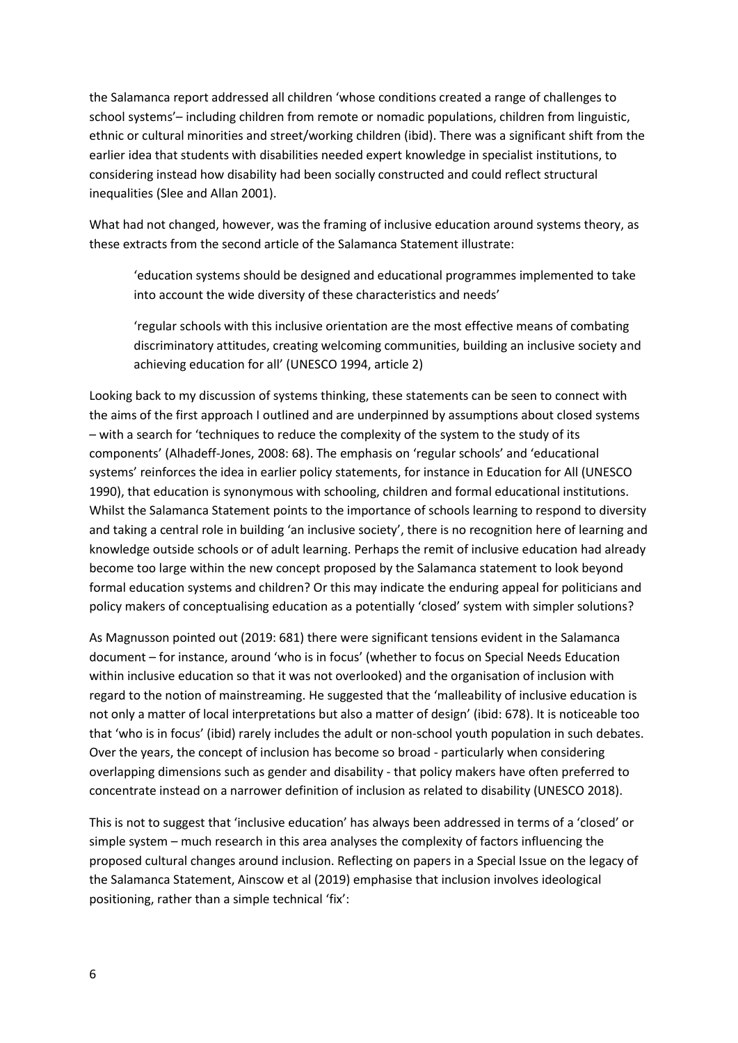the Salamanca report addressed all children 'whose conditions created a range of challenges to school systems'– including children from remote or nomadic populations, children from linguistic, ethnic or cultural minorities and street/working children (ibid). There was a significant shift from the earlier idea that students with disabilities needed expert knowledge in specialist institutions, to considering instead how disability had been socially constructed and could reflect structural inequalities (Slee and Allan 2001).

What had not changed, however, was the framing of inclusive education around systems theory, as these extracts from the second article of the Salamanca Statement illustrate:

'education systems should be designed and educational programmes implemented to take into account the wide diversity of these characteristics and needs'

'regular schools with this inclusive orientation are the most effective means of combating discriminatory attitudes, creating welcoming communities, building an inclusive society and achieving education for all' (UNESCO 1994, article 2)

Looking back to my discussion of systems thinking, these statements can be seen to connect with the aims of the first approach I outlined and are underpinned by assumptions about closed systems – with a search for 'techniques to reduce the complexity of the system to the study of its components' (Alhadeff-Jones, 2008: 68). The emphasis on 'regular schools' and 'educational systems' reinforces the idea in earlier policy statements, for instance in Education for All (UNESCO 1990), that education is synonymous with schooling, children and formal educational institutions. Whilst the Salamanca Statement points to the importance of schools learning to respond to diversity and taking a central role in building 'an inclusive society', there is no recognition here of learning and knowledge outside schools or of adult learning. Perhaps the remit of inclusive education had already become too large within the new concept proposed by the Salamanca statement to look beyond formal education systems and children? Or this may indicate the enduring appeal for politicians and policy makers of conceptualising education as a potentially 'closed' system with simpler solutions?

As Magnusson pointed out (2019: 681) there were significant tensions evident in the Salamanca document – for instance, around 'who is in focus' (whether to focus on Special Needs Education within inclusive education so that it was not overlooked) and the organisation of inclusion with regard to the notion of mainstreaming. He suggested that the 'malleability of inclusive education is not only a matter of local interpretations but also a matter of design' (ibid: 678). It is noticeable too that 'who is in focus' (ibid) rarely includes the adult or non-school youth population in such debates. Over the years, the concept of inclusion has become so broad - particularly when considering overlapping dimensions such as gender and disability - that policy makers have often preferred to concentrate instead on a narrower definition of inclusion as related to disability (UNESCO 2018).

This is not to suggest that 'inclusive education' has always been addressed in terms of a 'closed' or simple system – much research in this area analyses the complexity of factors influencing the proposed cultural changes around inclusion. Reflecting on papers in a Special Issue on the legacy of the Salamanca Statement, Ainscow et al (2019) emphasise that inclusion involves ideological positioning, rather than a simple technical 'fix':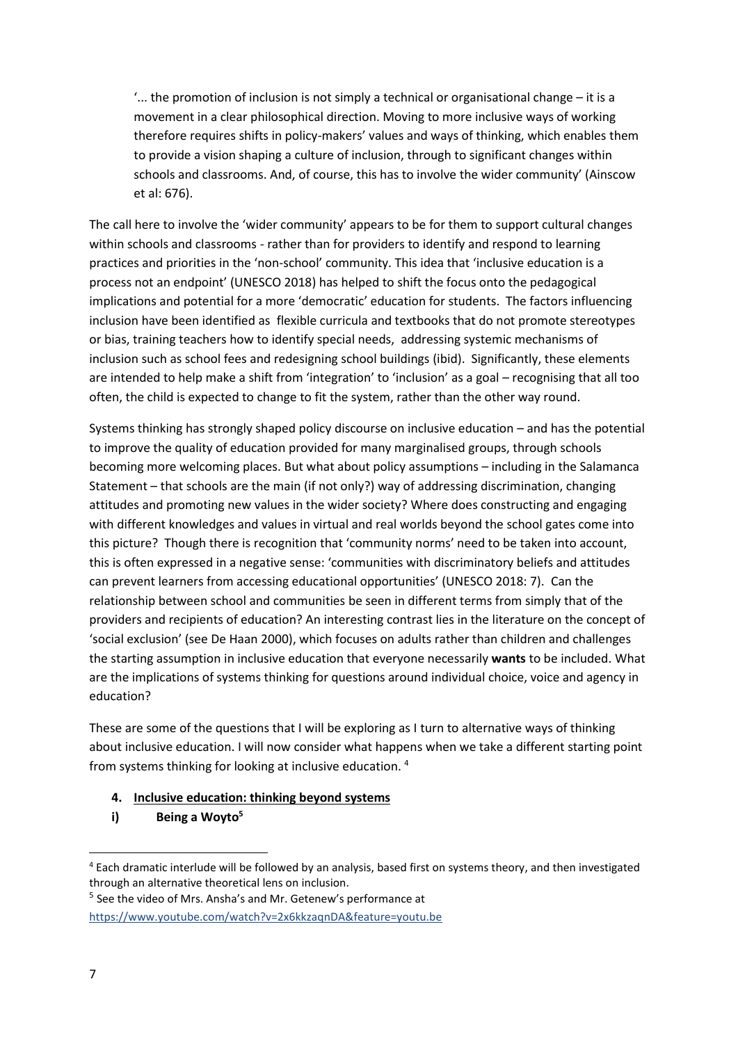'... the promotion of inclusion is not simply a technical or organisational change – it is a movement in a clear philosophical direction. Moving to more inclusive ways of working therefore requires shifts in policy-makers' values and ways of thinking, which enables them to provide a vision shaping a culture of inclusion, through to significant changes within schools and classrooms. And, of course, this has to involve the wider community' (Ainscow et al: 676).

The call here to involve the 'wider community' appears to be for them to support cultural changes within schools and classrooms - rather than for providers to identify and respond to learning practices and priorities in the 'non-school' community. This idea that 'inclusive education is a process not an endpoint' (UNESCO 2018) has helped to shift the focus onto the pedagogical implications and potential for a more 'democratic' education for students. The factors influencing inclusion have been identified as flexible curricula and textbooks that do not promote stereotypes or bias, training teachers how to identify special needs, addressing systemic mechanisms of inclusion such as school fees and redesigning school buildings (ibid). Significantly, these elements are intended to help make a shift from 'integration' to 'inclusion' as a goal – recognising that all too often, the child is expected to change to fit the system, rather than the other way round.

Systems thinking has strongly shaped policy discourse on inclusive education – and has the potential to improve the quality of education provided for many marginalised groups, through schools becoming more welcoming places. But what about policy assumptions – including in the Salamanca Statement – that schools are the main (if not only?) way of addressing discrimination, changing attitudes and promoting new values in the wider society? Where does constructing and engaging with different knowledges and values in virtual and real worlds beyond the school gates come into this picture? Though there is recognition that 'community norms' need to be taken into account, this is often expressed in a negative sense: 'communities with discriminatory beliefs and attitudes can prevent learners from accessing educational opportunities' (UNESCO 2018: 7). Can the relationship between school and communities be seen in different terms from simply that of the providers and recipients of education? An interesting contrast lies in the literature on the concept of 'social exclusion' (see De Haan 2000), which focuses on adults rather than children and challenges the starting assumption in inclusive education that everyone necessarily **wants** to be included. What are the implications of systems thinking for questions around individual choice, voice and agency in education?

These are some of the questions that I will be exploring as I turn to alternative ways of thinking about inclusive education. I will now consider what happens when we take a different starting point from systems thinking for looking at inclusive education. <sup>4</sup>

## **4. Inclusive education: thinking beyond systems**

**i) Being a Woyto<sup>5</sup>**

<sup>4</sup> Each dramatic interlude will be followed by an analysis, based first on systems theory, and then investigated through an alternative theoretical lens on inclusion.

<sup>&</sup>lt;sup>5</sup> See the video of Mrs. Ansha's and Mr. Getenew's performance at [https://www.youtube.com/watch?v=2x6kkzaqnDA&feature=youtu.be](https://eur01.safelinks.protection.outlook.com/?url=https%3A%2F%2Fwww.youtube.com%2Fwatch%3Fv%3D2x6kkzaqnDA%26feature%3Dyoutu.be&data=02%7C01%7CA.Robinson-pant%40uea.ac.uk%7C028d156c5e5a40d1a51c08d7afe08b1b%7Cc65f8795ba3d43518a070865e5d8f090%7C0%7C0%7C637171251251891143&sdata=dtAdAnS8yxEBuJuregXUvppqmgl%2FBCumlcJFuXQKLh8%3D&reserved=0)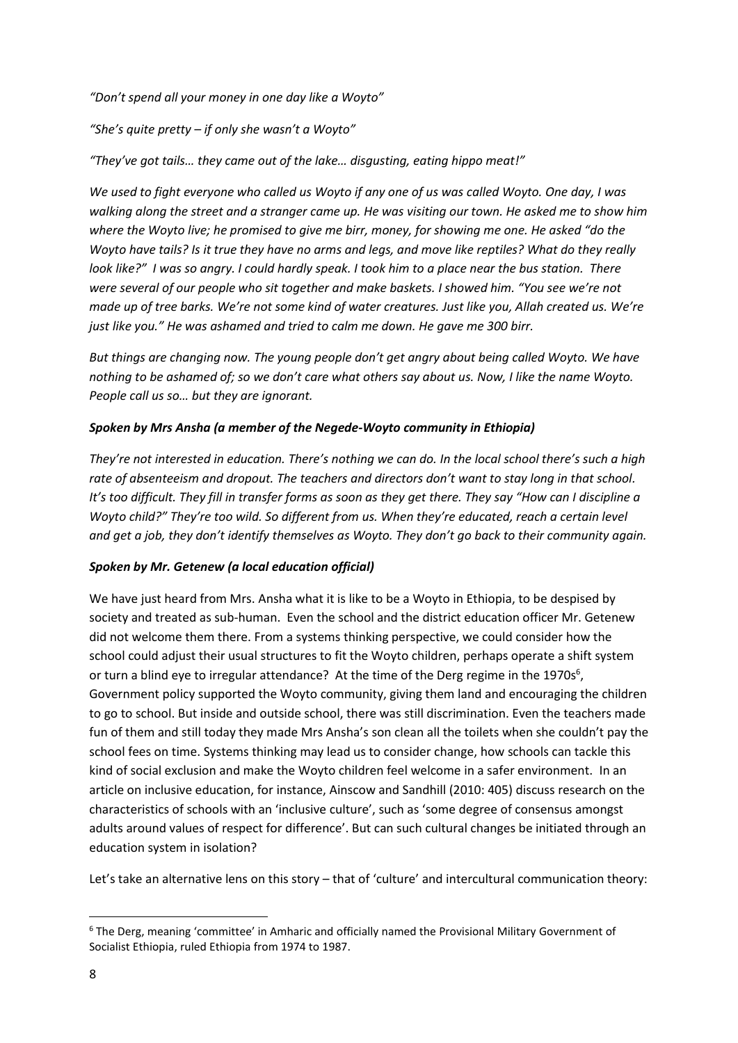*"Don't spend all your money in one day like a Woyto"*

*"She's quite pretty – if only she wasn't a Woyto"*

*"They've got tails… they came out of the lake… disgusting, eating hippo meat!"*

*We used to fight everyone who called us Woyto if any one of us was called Woyto. One day, I was walking along the street and a stranger came up. He was visiting our town. He asked me to show him where the Woyto live; he promised to give me birr, money, for showing me one. He asked "do the Woyto have tails? Is it true they have no arms and legs, and move like reptiles? What do they really look like?" I was so angry. I could hardly speak. I took him to a place near the bus station. There were several of our people who sit together and make baskets. I showed him. "You see we're not made up of tree barks. We're not some kind of water creatures. Just like you, Allah created us. We're just like you." He was ashamed and tried to calm me down. He gave me 300 birr.* 

*But things are changing now. The young people don't get angry about being called Woyto. We have nothing to be ashamed of; so we don't care what others say about us. Now, I like the name Woyto. People call us so… but they are ignorant.* 

### *Spoken by Mrs Ansha (a member of the Negede-Woyto community in Ethiopia)*

*They're not interested in education. There's nothing we can do. In the local school there's such a high rate of absenteeism and dropout. The teachers and directors don't want to stay long in that school. It's too difficult. They fill in transfer forms as soon as they get there. They say "How can I discipline a Woyto child?" They're too wild. So different from us. When they're educated, reach a certain level and get a job, they don't identify themselves as Woyto. They don't go back to their community again.* 

## *Spoken by Mr. Getenew (a local education official)*

We have just heard from Mrs. Ansha what it is like to be a Woyto in Ethiopia, to be despised by society and treated as sub-human. Even the school and the district education officer Mr. Getenew did not welcome them there. From a systems thinking perspective, we could consider how the school could adjust their usual structures to fit the Woyto children, perhaps operate a shift system or turn a blind eye to irregular attendance? At the time of the Derg regime in the 1970s $6$ , Government policy supported the Woyto community, giving them land and encouraging the children to go to school. But inside and outside school, there was still discrimination. Even the teachers made fun of them and still today they made Mrs Ansha's son clean all the toilets when she couldn't pay the school fees on time. Systems thinking may lead us to consider change, how schools can tackle this kind of social exclusion and make the Woyto children feel welcome in a safer environment. In an article on inclusive education, for instance, Ainscow and Sandhill (2010: 405) discuss research on the characteristics of schools with an 'inclusive culture', such as 'some degree of consensus amongst adults around values of respect for difference'. But can such cultural changes be initiated through an education system in isolation?

Let's take an alternative lens on this story – that of 'culture' and intercultural communication theory:

<sup>6</sup> The Derg, meaning 'committee' in Amharic and officially named the Provisional Military Government of Socialist Ethiopia, ruled Ethiopia from 1974 to 1987.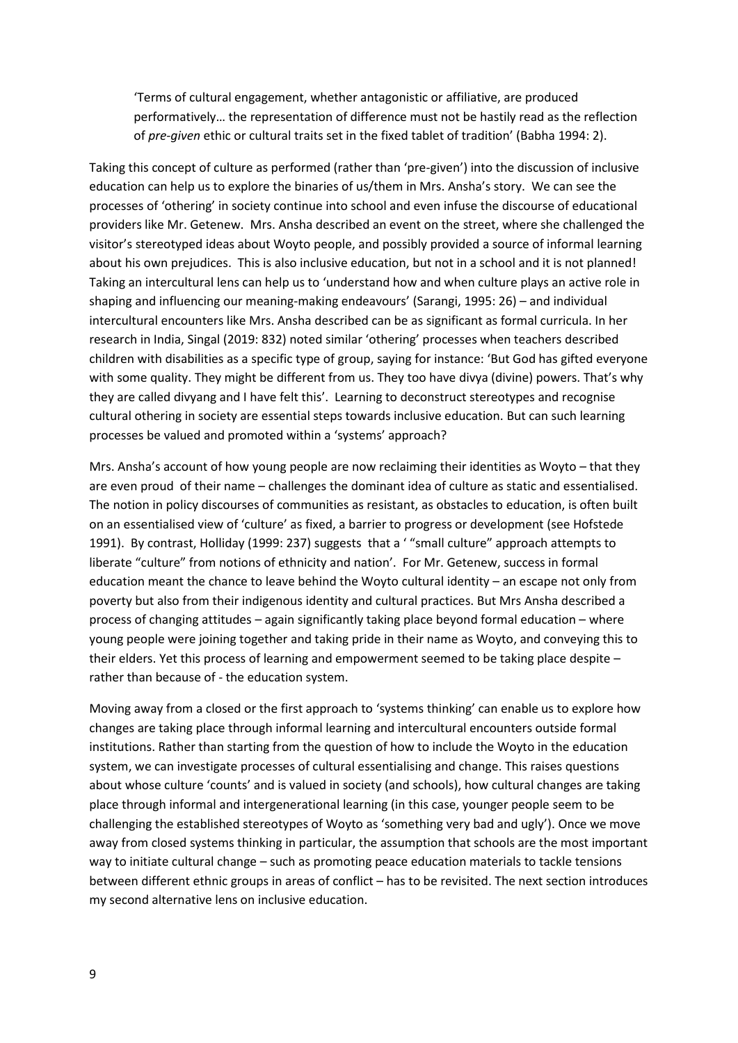'Terms of cultural engagement, whether antagonistic or affiliative, are produced performatively… the representation of difference must not be hastily read as the reflection of *pre-given* ethic or cultural traits set in the fixed tablet of tradition' (Babha 1994: 2).

Taking this concept of culture as performed (rather than 'pre-given') into the discussion of inclusive education can help us to explore the binaries of us/them in Mrs. Ansha's story. We can see the processes of 'othering' in society continue into school and even infuse the discourse of educational providers like Mr. Getenew. Mrs. Ansha described an event on the street, where she challenged the visitor's stereotyped ideas about Woyto people, and possibly provided a source of informal learning about his own prejudices. This is also inclusive education, but not in a school and it is not planned! Taking an intercultural lens can help us to 'understand how and when culture plays an active role in shaping and influencing our meaning-making endeavours' (Sarangi, 1995: 26) – and individual intercultural encounters like Mrs. Ansha described can be as significant as formal curricula. In her research in India, Singal (2019: 832) noted similar 'othering' processes when teachers described children with disabilities as a specific type of group, saying for instance: 'But God has gifted everyone with some quality. They might be different from us. They too have divya (divine) powers. That's why they are called divyang and I have felt this'. Learning to deconstruct stereotypes and recognise cultural othering in society are essential steps towards inclusive education. But can such learning processes be valued and promoted within a 'systems' approach?

Mrs. Ansha's account of how young people are now reclaiming their identities as Woyto – that they are even proud of their name – challenges the dominant idea of culture as static and essentialised. The notion in policy discourses of communities as resistant, as obstacles to education, is often built on an essentialised view of 'culture' as fixed, a barrier to progress or development (see Hofstede 1991). By contrast, Holliday (1999: 237) suggests that a ' "small culture" approach attempts to liberate "culture" from notions of ethnicity and nation'. For Mr. Getenew, success in formal education meant the chance to leave behind the Woyto cultural identity – an escape not only from poverty but also from their indigenous identity and cultural practices. But Mrs Ansha described a process of changing attitudes – again significantly taking place beyond formal education – where young people were joining together and taking pride in their name as Woyto, and conveying this to their elders. Yet this process of learning and empowerment seemed to be taking place despite – rather than because of - the education system.

Moving away from a closed or the first approach to 'systems thinking' can enable us to explore how changes are taking place through informal learning and intercultural encounters outside formal institutions. Rather than starting from the question of how to include the Woyto in the education system, we can investigate processes of cultural essentialising and change. This raises questions about whose culture 'counts' and is valued in society (and schools), how cultural changes are taking place through informal and intergenerational learning (in this case, younger people seem to be challenging the established stereotypes of Woyto as 'something very bad and ugly'). Once we move away from closed systems thinking in particular, the assumption that schools are the most important way to initiate cultural change – such as promoting peace education materials to tackle tensions between different ethnic groups in areas of conflict – has to be revisited. The next section introduces my second alternative lens on inclusive education.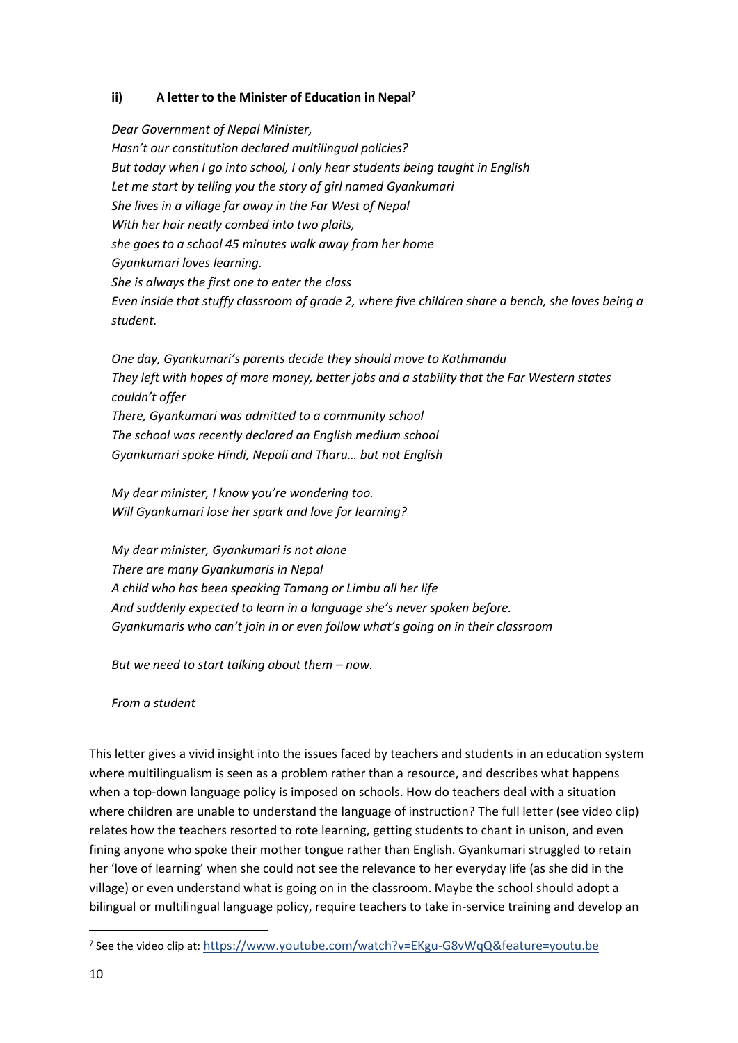## **ii) A letter to the Minister of Education in Nepal<sup>7</sup>**

*Dear Government of Nepal Minister, Hasn't our constitution declared multilingual policies? But today when I go into school, I only hear students being taught in English Let me start by telling you the story of girl named Gyankumari She lives in a village far away in the Far West of Nepal With her hair neatly combed into two plaits, she goes to a school 45 minutes walk away from her home Gyankumari loves learning. She is always the first one to enter the class Even inside that stuffy classroom of grade 2, where five children share a bench, she loves being a student.*

*One day, Gyankumari's parents decide they should move to Kathmandu They left with hopes of more money, better jobs and a stability that the Far Western states couldn't offer There, Gyankumari was admitted to a community school The school was recently declared an English medium school Gyankumari spoke Hindi, Nepali and Tharu… but not English*

*My dear minister, I know you're wondering too. Will Gyankumari lose her spark and love for learning?*

*My dear minister, Gyankumari is not alone There are many Gyankumaris in Nepal A child who has been speaking Tamang or Limbu all her life And suddenly expected to learn in a language she's never spoken before. Gyankumaris who can't join in or even follow what's going on in their classroom*

*But we need to start talking about them – now.* 

*From a student*

This letter gives a vivid insight into the issues faced by teachers and students in an education system where multilingualism is seen as a problem rather than a resource, and describes what happens when a top-down language policy is imposed on schools. How do teachers deal with a situation where children are unable to understand the language of instruction? The full letter (see video clip) relates how the teachers resorted to rote learning, getting students to chant in unison, and even fining anyone who spoke their mother tongue rather than English. Gyankumari struggled to retain her 'love of learning' when she could not see the relevance to her everyday life (as she did in the village) or even understand what is going on in the classroom. Maybe the school should adopt a bilingual or multilingual language policy, require teachers to take in-service training and develop an

<sup>7</sup> See the video clip at: [https://www.youtube.com/watch?v=EKgu-G8vWqQ&feature=youtu.be](https://eur01.safelinks.protection.outlook.com/?url=https%3A%2F%2Fwww.youtube.com%2Fwatch%3Fv%3DEKgu-G8vWqQ%26feature%3Dyoutu.be&data=02%7C01%7CA.Robinson-pant%40uea.ac.uk%7C028d156c5e5a40d1a51c08d7afe08b1b%7Cc65f8795ba3d43518a070865e5d8f090%7C0%7C0%7C637171251251881182&sdata=QkeVBRo3351HFhesv1U7F76Q4m%2FeAD0yqfUEkFlMF9w%3D&reserved=0)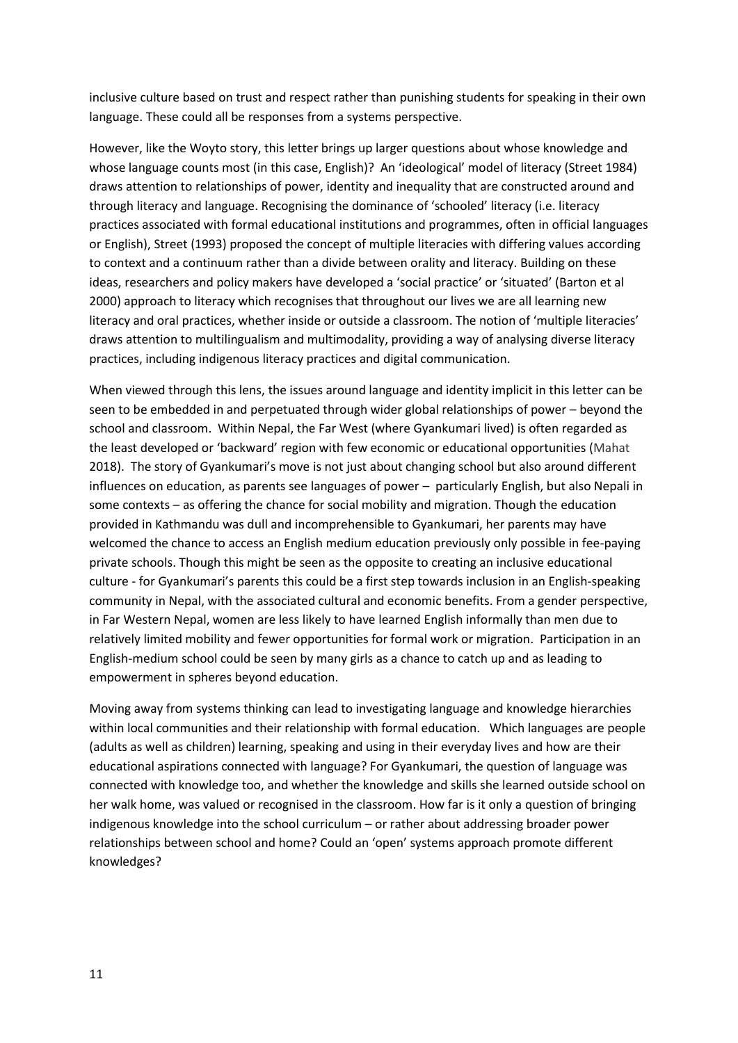inclusive culture based on trust and respect rather than punishing students for speaking in their own language. These could all be responses from a systems perspective.

However, like the Woyto story, this letter brings up larger questions about whose knowledge and whose language counts most (in this case, English)? An 'ideological' model of literacy (Street 1984) draws attention to relationships of power, identity and inequality that are constructed around and through literacy and language. Recognising the dominance of 'schooled' literacy (i.e. literacy practices associated with formal educational institutions and programmes, often in official languages or English), Street (1993) proposed the concept of multiple literacies with differing values according to context and a continuum rather than a divide between orality and literacy. Building on these ideas, researchers and policy makers have developed a 'social practice' or 'situated' (Barton et al 2000) approach to literacy which recognises that throughout our lives we are all learning new literacy and oral practices, whether inside or outside a classroom. The notion of 'multiple literacies' draws attention to multilingualism and multimodality, providing a way of analysing diverse literacy practices, including indigenous literacy practices and digital communication.

When viewed through this lens, the issues around language and identity implicit in this letter can be seen to be embedded in and perpetuated through wider global relationships of power – beyond the school and classroom. Within Nepal, the Far West (where Gyankumari lived) is often regarded as the least developed or 'backward' region with few economic or educational opportunities (Mahat 2018). The story of Gyankumari's move is not just about changing school but also around different influences on education, as parents see languages of power – particularly English, but also Nepali in some contexts – as offering the chance for social mobility and migration. Though the education provided in Kathmandu was dull and incomprehensible to Gyankumari, her parents may have welcomed the chance to access an English medium education previously only possible in fee-paying private schools. Though this might be seen as the opposite to creating an inclusive educational culture - for Gyankumari's parents this could be a first step towards inclusion in an English-speaking community in Nepal, with the associated cultural and economic benefits. From a gender perspective, in Far Western Nepal, women are less likely to have learned English informally than men due to relatively limited mobility and fewer opportunities for formal work or migration. Participation in an English-medium school could be seen by many girls as a chance to catch up and as leading to empowerment in spheres beyond education.

Moving away from systems thinking can lead to investigating language and knowledge hierarchies within local communities and their relationship with formal education. Which languages are people (adults as well as children) learning, speaking and using in their everyday lives and how are their educational aspirations connected with language? For Gyankumari, the question of language was connected with knowledge too, and whether the knowledge and skills she learned outside school on her walk home, was valued or recognised in the classroom. How far is it only a question of bringing indigenous knowledge into the school curriculum – or rather about addressing broader power relationships between school and home? Could an 'open' systems approach promote different knowledges?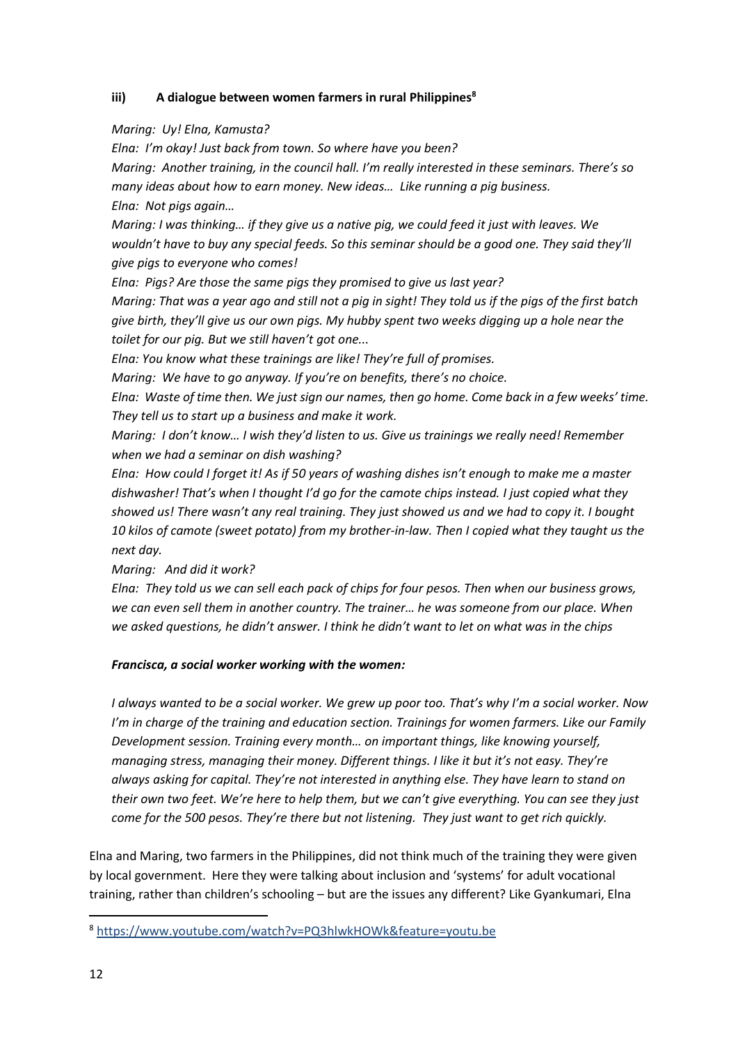## **iii) A dialogue between women farmers in rural Philippines<sup>8</sup>**

## *Maring: Uy! Elna, Kamusta?*

*Elna: I'm okay! Just back from town. So where have you been? Maring: Another training, in the council hall. I'm really interested in these seminars. There's so many ideas about how to earn money. New ideas… Like running a pig business. Elna: Not pigs again…*

*Maring: I was thinking… if they give us a native pig, we could feed it just with leaves. We wouldn't have to buy any special feeds. So this seminar should be a good one. They said they'll give pigs to everyone who comes!*

*Elna: Pigs? Are those the same pigs they promised to give us last year?* 

*Maring: That was a year ago and still not a pig in sight! They told us if the pigs of the first batch give birth, they'll give us our own pigs. My hubby spent two weeks digging up a hole near the toilet for our pig. But we still haven't got one...* 

*Elna: You know what these trainings are like! They're full of promises.* 

*Maring: We have to go anyway. If you're on benefits, there's no choice.*

*Elna: Waste of time then. We just sign our names, then go home. Come back in a few weeks' time. They tell us to start up a business and make it work.* 

*Maring: I don't know… I wish they'd listen to us. Give us trainings we really need! Remember when we had a seminar on dish washing?*

*Elna: How could I forget it! As if 50 years of washing dishes isn't enough to make me a master dishwasher! That's when I thought I'd go for the camote chips instead. I just copied what they showed us! There wasn't any real training. They just showed us and we had to copy it. I bought 10 kilos of camote (sweet potato) from my brother-in-law. Then I copied what they taught us the next day.* 

*Maring: And did it work?*

*Elna: They told us we can sell each pack of chips for four pesos. Then when our business grows, we can even sell them in another country. The trainer… he was someone from our place. When we asked questions, he didn't answer. I think he didn't want to let on what was in the chips*

## *Francisca, a social worker working with the women:*

*I always wanted to be a social worker. We grew up poor too. That's why I'm a social worker. Now I'm in charge of the training and education section. Trainings for women farmers. Like our Family Development session. Training every month… on important things, like knowing yourself, managing stress, managing their money. Different things. I like it but it's not easy. They're always asking for capital. They're not interested in anything else. They have learn to stand on their own two feet. We're here to help them, but we can't give everything. You can see they just come for the 500 pesos. They're there but not listening. They just want to get rich quickly.* 

Elna and Maring, two farmers in the Philippines, did not think much of the training they were given by local government. Here they were talking about inclusion and 'systems' for adult vocational training, rather than children's schooling – but are the issues any different? Like Gyankumari, Elna

<sup>8</sup> [https://www.youtube.com/watch?v=PQ3hlwkHOWk&feature=youtu.be](https://eur01.safelinks.protection.outlook.com/?url=https%3A%2F%2Fwww.youtube.com%2Fwatch%3Fv%3DPQ3hlwkHOWk%26feature%3Dyoutu.be&data=02%7C01%7CA.Robinson-pant%40uea.ac.uk%7C028d156c5e5a40d1a51c08d7afe08b1b%7Cc65f8795ba3d43518a070865e5d8f090%7C0%7C0%7C637171251251886165&sdata=PqN%2BlXjxvCMAeaG9WWo01baTpbMdhRoqkkFSgC%2B1Zdg%3D&reserved=0)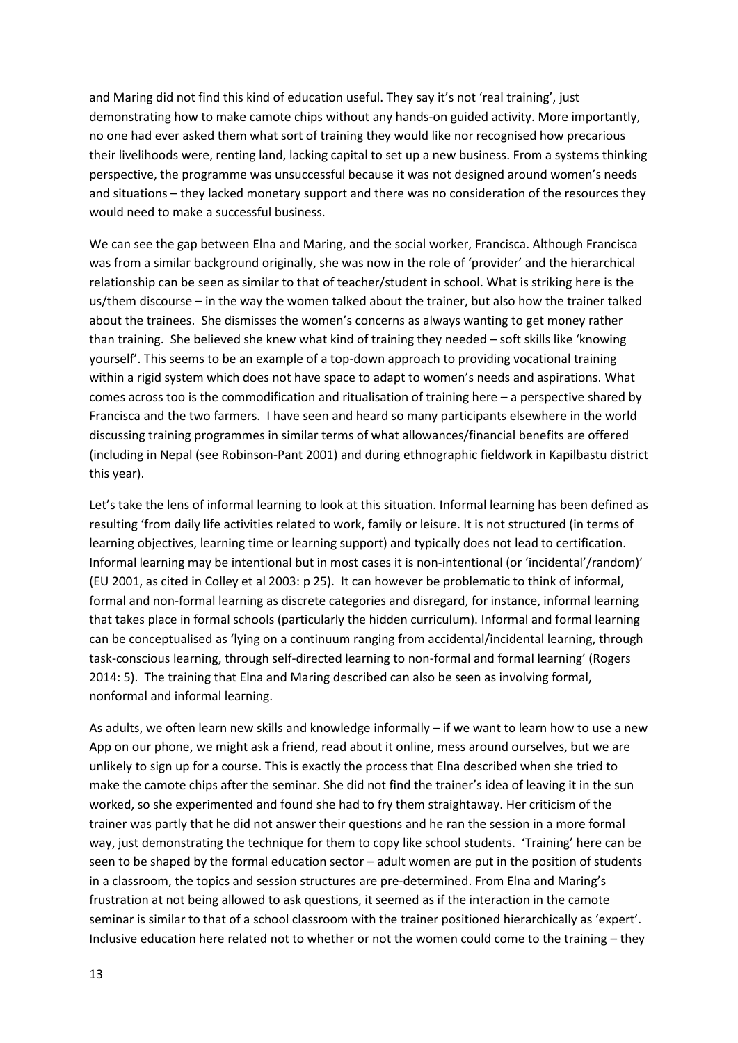and Maring did not find this kind of education useful. They say it's not 'real training', just demonstrating how to make camote chips without any hands-on guided activity. More importantly, no one had ever asked them what sort of training they would like nor recognised how precarious their livelihoods were, renting land, lacking capital to set up a new business. From a systems thinking perspective, the programme was unsuccessful because it was not designed around women's needs and situations – they lacked monetary support and there was no consideration of the resources they would need to make a successful business.

We can see the gap between Elna and Maring, and the social worker, Francisca. Although Francisca was from a similar background originally, she was now in the role of 'provider' and the hierarchical relationship can be seen as similar to that of teacher/student in school. What is striking here is the us/them discourse – in the way the women talked about the trainer, but also how the trainer talked about the trainees. She dismisses the women's concerns as always wanting to get money rather than training. She believed she knew what kind of training they needed – soft skills like 'knowing yourself'. This seems to be an example of a top-down approach to providing vocational training within a rigid system which does not have space to adapt to women's needs and aspirations. What comes across too is the commodification and ritualisation of training here – a perspective shared by Francisca and the two farmers. I have seen and heard so many participants elsewhere in the world discussing training programmes in similar terms of what allowances/financial benefits are offered (including in Nepal (see Robinson-Pant 2001) and during ethnographic fieldwork in Kapilbastu district this year).

Let's take the lens of informal learning to look at this situation. Informal learning has been defined as resulting 'from daily life activities related to work, family or leisure. It is not structured (in terms of learning objectives, learning time or learning support) and typically does not lead to certification. Informal learning may be intentional but in most cases it is non-intentional (or 'incidental'/random)' (EU 2001, as cited in Colley et al 2003: p 25). It can however be problematic to think of informal, formal and non-formal learning as discrete categories and disregard, for instance, informal learning that takes place in formal schools (particularly the hidden curriculum). Informal and formal learning can be conceptualised as 'lying on a continuum ranging from accidental/incidental learning, through task-conscious learning, through self-directed learning to non-formal and formal learning' (Rogers 2014: 5). The training that Elna and Maring described can also be seen as involving formal, nonformal and informal learning.

As adults, we often learn new skills and knowledge informally – if we want to learn how to use a new App on our phone, we might ask a friend, read about it online, mess around ourselves, but we are unlikely to sign up for a course. This is exactly the process that Elna described when she tried to make the camote chips after the seminar. She did not find the trainer's idea of leaving it in the sun worked, so she experimented and found she had to fry them straightaway. Her criticism of the trainer was partly that he did not answer their questions and he ran the session in a more formal way, just demonstrating the technique for them to copy like school students. 'Training' here can be seen to be shaped by the formal education sector – adult women are put in the position of students in a classroom, the topics and session structures are pre-determined. From Elna and Maring's frustration at not being allowed to ask questions, it seemed as if the interaction in the camote seminar is similar to that of a school classroom with the trainer positioned hierarchically as 'expert'. Inclusive education here related not to whether or not the women could come to the training – they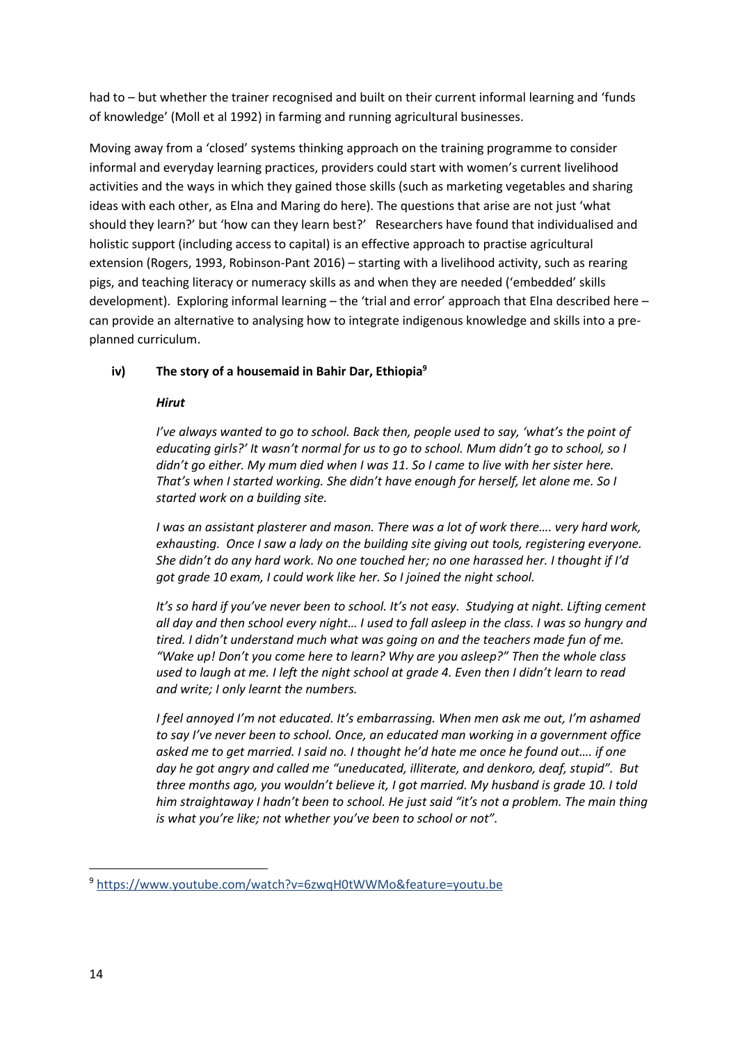had to – but whether the trainer recognised and built on their current informal learning and 'funds of knowledge' (Moll et al 1992) in farming and running agricultural businesses.

Moving away from a 'closed' systems thinking approach on the training programme to consider informal and everyday learning practices, providers could start with women's current livelihood activities and the ways in which they gained those skills (such as marketing vegetables and sharing ideas with each other, as Elna and Maring do here). The questions that arise are not just 'what should they learn?' but 'how can they learn best?' Researchers have found that individualised and holistic support (including access to capital) is an effective approach to practise agricultural extension (Rogers, 1993, Robinson-Pant 2016) – starting with a livelihood activity, such as rearing pigs, and teaching literacy or numeracy skills as and when they are needed ('embedded' skills development). Exploring informal learning – the 'trial and error' approach that Elna described here – can provide an alternative to analysing how to integrate indigenous knowledge and skills into a preplanned curriculum.

# **iv) The story of a housemaid in Bahir Dar, Ethiopia<sup>9</sup>**

### *Hirut*

*I've always wanted to go to school. Back then, people used to say, 'what's the point of educating girls?' It wasn't normal for us to go to school. Mum didn't go to school, so I didn't go either. My mum died when I was 11. So I came to live with her sister here. That's when I started working. She didn't have enough for herself, let alone me. So I started work on a building site.*

*I was an assistant plasterer and mason. There was a lot of work there…. very hard work, exhausting. Once I saw a lady on the building site giving out tools, registering everyone. She didn't do any hard work. No one touched her; no one harassed her. I thought if I'd got grade 10 exam, I could work like her. So I joined the night school.*

*It's so hard if you've never been to school. It's not easy. Studying at night. Lifting cement all day and then school every night… I used to fall asleep in the class. I was so hungry and tired. I didn't understand much what was going on and the teachers made fun of me. "Wake up! Don't you come here to learn? Why are you asleep?" Then the whole class used to laugh at me. I left the night school at grade 4. Even then I didn't learn to read and write; I only learnt the numbers.* 

*I feel annoyed I'm not educated. It's embarrassing. When men ask me out, I'm ashamed to say I've never been to school. Once, an educated man working in a government office asked me to get married. I said no. I thought he'd hate me once he found out…. if one day he got angry and called me "uneducated, illiterate, and denkoro, deaf, stupid". But three months ago, you wouldn't believe it, I got married. My husband is grade 10. I told him straightaway I hadn't been to school. He just said "it's not a problem. The main thing is what you're like; not whether you've been to school or not".*

<sup>9</sup> [https://www.youtube.com/watch?v=6zwqH0tWWMo&feature=youtu.be](https://eur01.safelinks.protection.outlook.com/?url=https%3A%2F%2Fwww.youtube.com%2Fwatch%3Fv%3D6zwqH0tWWMo%26feature%3Dyoutu.be&data=02%7C01%7CA.Robinson-pant%40uea.ac.uk%7C028d156c5e5a40d1a51c08d7afe08b1b%7Cc65f8795ba3d43518a070865e5d8f090%7C0%7C0%7C637171251251896117&sdata=vYlvPTkcEgYvPsDC03p149IhEfKVaeT2DiZ0R5%2BdNAU%3D&reserved=0)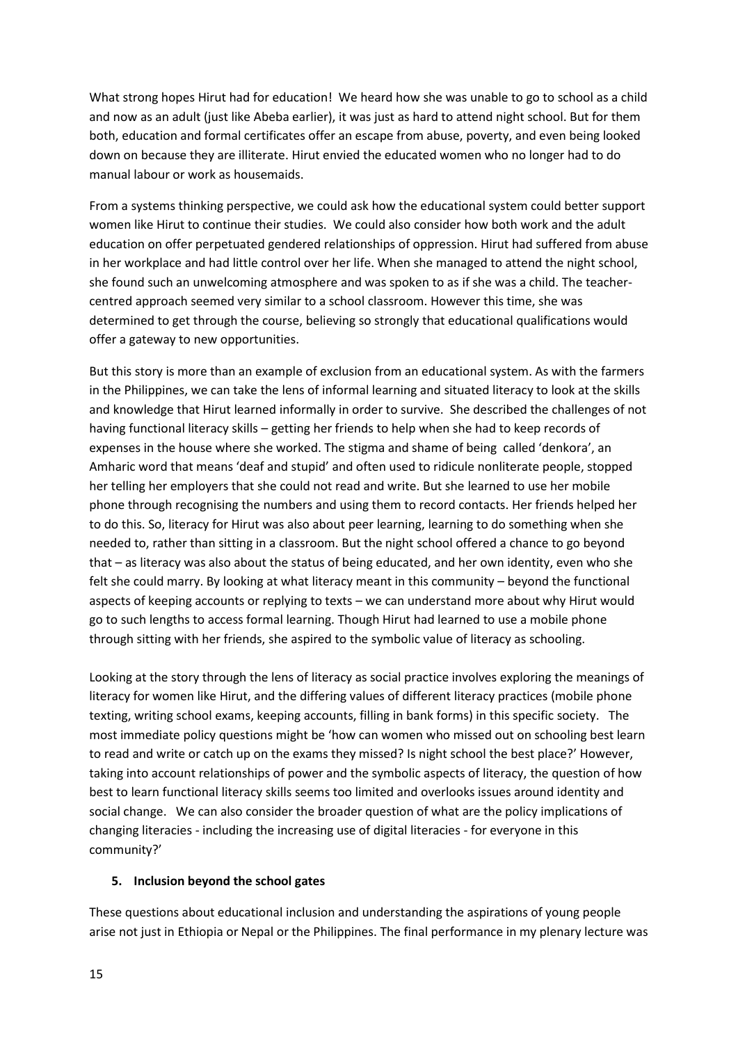What strong hopes Hirut had for education! We heard how she was unable to go to school as a child and now as an adult (just like Abeba earlier), it was just as hard to attend night school. But for them both, education and formal certificates offer an escape from abuse, poverty, and even being looked down on because they are illiterate. Hirut envied the educated women who no longer had to do manual labour or work as housemaids.

From a systems thinking perspective, we could ask how the educational system could better support women like Hirut to continue their studies. We could also consider how both work and the adult education on offer perpetuated gendered relationships of oppression. Hirut had suffered from abuse in her workplace and had little control over her life. When she managed to attend the night school, she found such an unwelcoming atmosphere and was spoken to as if she was a child. The teachercentred approach seemed very similar to a school classroom. However this time, she was determined to get through the course, believing so strongly that educational qualifications would offer a gateway to new opportunities.

But this story is more than an example of exclusion from an educational system. As with the farmers in the Philippines, we can take the lens of informal learning and situated literacy to look at the skills and knowledge that Hirut learned informally in order to survive. She described the challenges of not having functional literacy skills – getting her friends to help when she had to keep records of expenses in the house where she worked. The stigma and shame of being called 'denkora', an Amharic word that means 'deaf and stupid' and often used to ridicule nonliterate people, stopped her telling her employers that she could not read and write. But she learned to use her mobile phone through recognising the numbers and using them to record contacts. Her friends helped her to do this. So, literacy for Hirut was also about peer learning, learning to do something when she needed to, rather than sitting in a classroom. But the night school offered a chance to go beyond that – as literacy was also about the status of being educated, and her own identity, even who she felt she could marry. By looking at what literacy meant in this community – beyond the functional aspects of keeping accounts or replying to texts – we can understand more about why Hirut would go to such lengths to access formal learning. Though Hirut had learned to use a mobile phone through sitting with her friends, she aspired to the symbolic value of literacy as schooling.

Looking at the story through the lens of literacy as social practice involves exploring the meanings of literacy for women like Hirut, and the differing values of different literacy practices (mobile phone texting, writing school exams, keeping accounts, filling in bank forms) in this specific society. The most immediate policy questions might be 'how can women who missed out on schooling best learn to read and write or catch up on the exams they missed? Is night school the best place?' However, taking into account relationships of power and the symbolic aspects of literacy, the question of how best to learn functional literacy skills seems too limited and overlooks issues around identity and social change. We can also consider the broader question of what are the policy implications of changing literacies - including the increasing use of digital literacies - for everyone in this community?'

#### **5. Inclusion beyond the school gates**

These questions about educational inclusion and understanding the aspirations of young people arise not just in Ethiopia or Nepal or the Philippines. The final performance in my plenary lecture was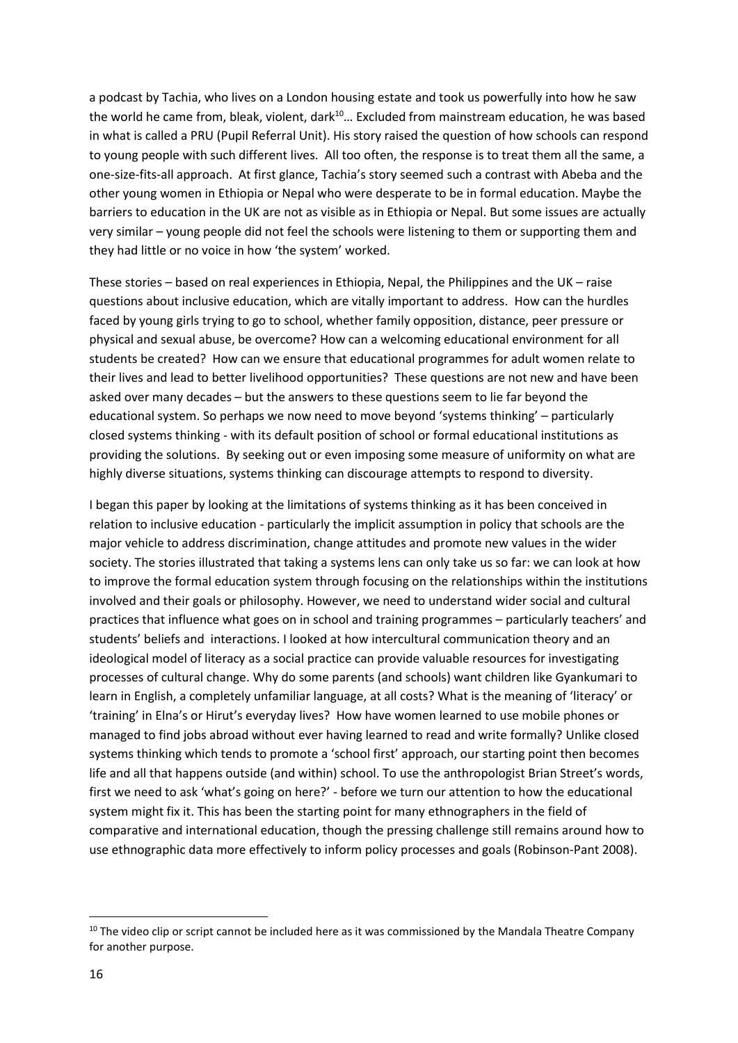a podcast by Tachia, who lives on a London housing estate and took us powerfully into how he saw the world he came from, bleak, violent, dark<sup>10</sup>... Excluded from mainstream education, he was based in what is called a PRU (Pupil Referral Unit). His story raised the question of how schools can respond to young people with such different lives. All too often, the response is to treat them all the same, a one-size-fits-all approach. At first glance, Tachia's story seemed such a contrast with Abeba and the other young women in Ethiopia or Nepal who were desperate to be in formal education. Maybe the barriers to education in the UK are not as visible as in Ethiopia or Nepal. But some issues are actually very similar – young people did not feel the schools were listening to them or supporting them and they had little or no voice in how 'the system' worked.

These stories – based on real experiences in Ethiopia, Nepal, the Philippines and the UK – raise questions about inclusive education, which are vitally important to address. How can the hurdles faced by young girls trying to go to school, whether family opposition, distance, peer pressure or physical and sexual abuse, be overcome? How can a welcoming educational environment for all students be created? How can we ensure that educational programmes for adult women relate to their lives and lead to better livelihood opportunities? These questions are not new and have been asked over many decades – but the answers to these questions seem to lie far beyond the educational system. So perhaps we now need to move beyond 'systems thinking' – particularly closed systems thinking - with its default position of school or formal educational institutions as providing the solutions. By seeking out or even imposing some measure of uniformity on what are highly diverse situations, systems thinking can discourage attempts to respond to diversity.

I began this paper by looking at the limitations of systems thinking as it has been conceived in relation to inclusive education - particularly the implicit assumption in policy that schools are the major vehicle to address discrimination, change attitudes and promote new values in the wider society. The stories illustrated that taking a systems lens can only take us so far: we can look at how to improve the formal education system through focusing on the relationships within the institutions involved and their goals or philosophy. However, we need to understand wider social and cultural practices that influence what goes on in school and training programmes – particularly teachers' and students' beliefs and interactions. I looked at how intercultural communication theory and an ideological model of literacy as a social practice can provide valuable resources for investigating processes of cultural change. Why do some parents (and schools) want children like Gyankumari to learn in English, a completely unfamiliar language, at all costs? What is the meaning of 'literacy' or 'training' in Elna's or Hirut's everyday lives? How have women learned to use mobile phones or managed to find jobs abroad without ever having learned to read and write formally? Unlike closed systems thinking which tends to promote a 'school first' approach, our starting point then becomes life and all that happens outside (and within) school. To use the anthropologist Brian Street's words, first we need to ask 'what's going on here?' - before we turn our attention to how the educational system might fix it. This has been the starting point for many ethnographers in the field of comparative and international education, though the pressing challenge still remains around how to use ethnographic data more effectively to inform policy processes and goals (Robinson-Pant 2008).

 $10$  The video clip or script cannot be included here as it was commissioned by the Mandala Theatre Company for another purpose.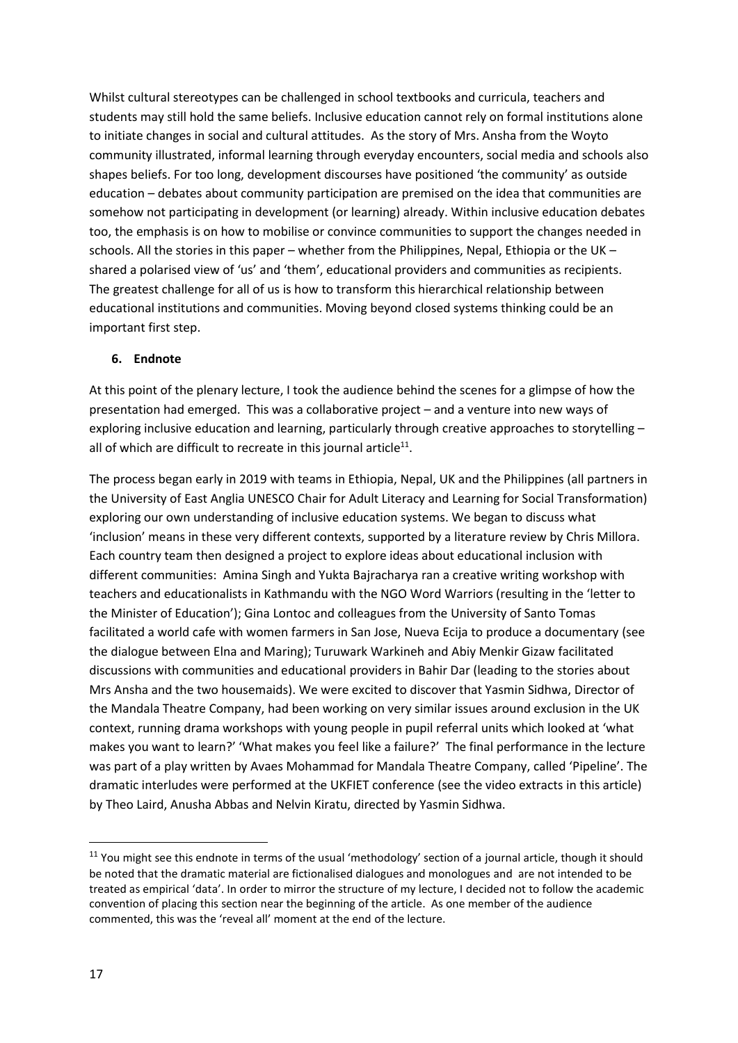Whilst cultural stereotypes can be challenged in school textbooks and curricula, teachers and students may still hold the same beliefs. Inclusive education cannot rely on formal institutions alone to initiate changes in social and cultural attitudes. As the story of Mrs. Ansha from the Woyto community illustrated, informal learning through everyday encounters, social media and schools also shapes beliefs. For too long, development discourses have positioned 'the community' as outside education – debates about community participation are premised on the idea that communities are somehow not participating in development (or learning) already. Within inclusive education debates too, the emphasis is on how to mobilise or convince communities to support the changes needed in schools. All the stories in this paper – whether from the Philippines, Nepal, Ethiopia or the UK – shared a polarised view of 'us' and 'them', educational providers and communities as recipients. The greatest challenge for all of us is how to transform this hierarchical relationship between educational institutions and communities. Moving beyond closed systems thinking could be an important first step.

### **6. Endnote**

At this point of the plenary lecture, I took the audience behind the scenes for a glimpse of how the presentation had emerged. This was a collaborative project – and a venture into new ways of exploring inclusive education and learning, particularly through creative approaches to storytelling – all of which are difficult to recreate in this journal article $^{11}$ .

The process began early in 2019 with teams in Ethiopia, Nepal, UK and the Philippines (all partners in the University of East Anglia UNESCO Chair for Adult Literacy and Learning for Social Transformation) exploring our own understanding of inclusive education systems. We began to discuss what 'inclusion' means in these very different contexts, supported by a literature review by Chris Millora. Each country team then designed a project to explore ideas about educational inclusion with different communities: Amina Singh and Yukta Bajracharya ran a creative writing workshop with teachers and educationalists in Kathmandu with the NGO Word Warriors (resulting in the 'letter to the Minister of Education'); Gina Lontoc and colleagues from the University of Santo Tomas facilitated a world cafe with women farmers in San Jose, Nueva Ecija to produce a documentary (see the dialogue between Elna and Maring); Turuwark Warkineh and Abiy Menkir Gizaw facilitated discussions with communities and educational providers in Bahir Dar (leading to the stories about Mrs Ansha and the two housemaids). We were excited to discover that Yasmin Sidhwa, Director of the Mandala Theatre Company, had been working on very similar issues around exclusion in the UK context, running drama workshops with young people in pupil referral units which looked at 'what makes you want to learn?' 'What makes you feel like a failure?' The final performance in the lecture was part of a play written by Avaes Mohammad for Mandala Theatre Company, called 'Pipeline'. The dramatic interludes were performed at the UKFIET conference (see the video extracts in this article) by Theo Laird, Anusha Abbas and Nelvin Kiratu, directed by Yasmin Sidhwa.

 $11$  You might see this endnote in terms of the usual 'methodology' section of a journal article, though it should be noted that the dramatic material are fictionalised dialogues and monologues and are not intended to be treated as empirical 'data'. In order to mirror the structure of my lecture, I decided not to follow the academic convention of placing this section near the beginning of the article. As one member of the audience commented, this was the 'reveal all' moment at the end of the lecture.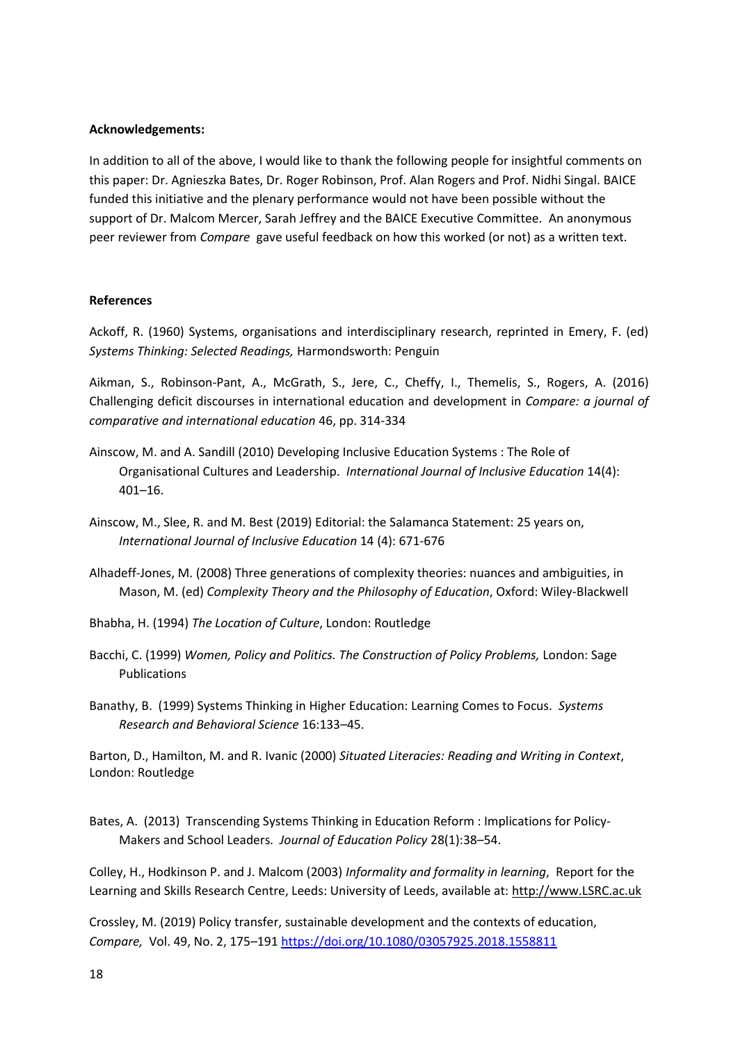#### **Acknowledgements:**

In addition to all of the above, I would like to thank the following people for insightful comments on this paper: Dr. Agnieszka Bates, Dr. Roger Robinson, Prof. Alan Rogers and Prof. Nidhi Singal. BAICE funded this initiative and the plenary performance would not have been possible without the support of Dr. Malcom Mercer, Sarah Jeffrey and the BAICE Executive Committee. An anonymous peer reviewer from *Compare* gave useful feedback on how this worked (or not) as a written text.

#### **References**

Ackoff, R. (1960) Systems, organisations and interdisciplinary research, reprinted in Emery, F. (ed) *Systems Thinking: Selected Readings,* Harmondsworth: Penguin

Aikman, S., Robinson-Pant, A., McGrath, S., Jere, C., Cheffy, I., Themelis, S., Rogers, A. (2016) Challenging deficit discourses in international education and development in *Compare: a journal of comparative and international education* 46, pp. 314-334

- Ainscow, M. and A. Sandill (2010) Developing Inclusive Education Systems : The Role of Organisational Cultures and Leadership. *International Journal of Inclusive Education* 14(4): 401–16.
- Ainscow, M., Slee, R. and M. Best (2019) Editorial: the Salamanca Statement: 25 years on, *International Journal of Inclusive Education* 14 (4): 671-676
- Alhadeff-Jones, M. (2008) Three generations of complexity theories: nuances and ambiguities, in Mason, M. (ed) *Complexity Theory and the Philosophy of Education*, Oxford: Wiley-Blackwell
- Bhabha, H. (1994) *The Location of Culture*, London: Routledge
- Bacchi, C. (1999) *Women, Policy and Politics. The Construction of Policy Problems, London: Sage* Publications
- Banathy, B. (1999) Systems Thinking in Higher Education: Learning Comes to Focus. *Systems Research and Behavioral Science* 16:133–45.

Barton, D., Hamilton, M. and R. Ivanic (2000) *Situated Literacies: Reading and Writing in Context*, London: Routledge

Bates, A. (2013) Transcending Systems Thinking in Education Reform : Implications for Policy-Makers and School Leaders. *Journal of Education Policy* 28(1):38–54.

Colley, H., Hodkinson P. and J. Malcom (2003) *Informality and formality in learning*, Report for the Learning and Skills Research Centre, Leeds: University of Leeds, available at: [http://www.LSRC.ac.uk](http://www.lsrc.ac.uk/)

Crossley, M. (2019) Policy transfer, sustainable development and the contexts of education, *Compare,* Vol. 49, No. 2, 175–19[1 https://doi.org/10.1080/03057925.2018.1558811](https://doi.org/10.1080/03057925.2018.1558811)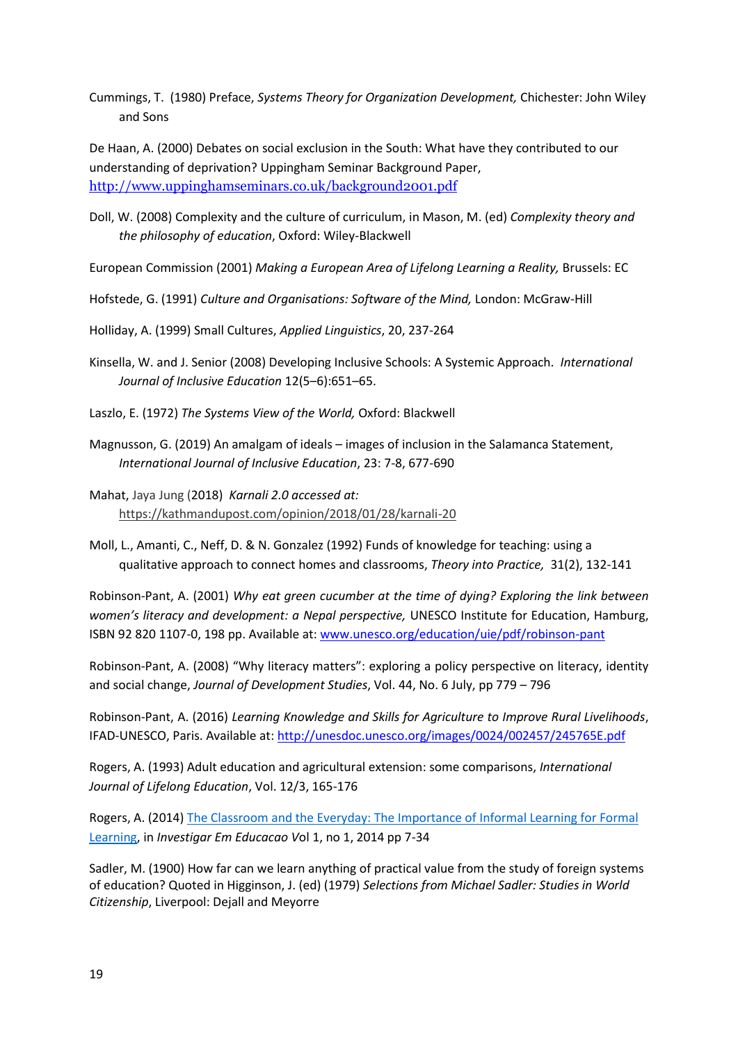Cummings, T. (1980) Preface, *Systems Theory for Organization Development,* Chichester: John Wiley and Sons

De Haan, A. (2000) Debates on social exclusion in the South: What have they contributed to our understanding of deprivation? Uppingham Seminar Background Paper, <http://www.uppinghamseminars.co.uk/background2001.pdf>

Doll, W. (2008) Complexity and the culture of curriculum, in Mason, M. (ed) *Complexity theory and the philosophy of education*, Oxford: Wiley-Blackwell

European Commission (2001) *Making a European Area of Lifelong Learning a Reality,* Brussels: EC

Hofstede, G. (1991) *Culture and Organisations: Software of the Mind,* London: McGraw-Hill

Holliday, A. (1999) Small Cultures, *Applied Linguistics*, 20, 237-264

- Kinsella, W. and J. Senior (2008) Developing Inclusive Schools: A Systemic Approach. *International Journal of Inclusive Education* 12(5–6):651–65.
- Laszlo, E. (1972) *The Systems View of the World,* Oxford: Blackwell
- Magnusson, G. (2019) An amalgam of ideals images of inclusion in the Salamanca Statement, *International Journal of Inclusive Education*, 23: 7-8, 677-690
- Mahat, Jaya Jung (2018) *Karnali 2.0 accessed at:* [https://kathmandupost.com/opinion/2018/01/28/karnali-20](https://eur01.safelinks.protection.outlook.com/?url=https%3A%2F%2Fkathmandupost.com%2Fopinion%2F2018%2F01%2F28%2Fkarnali-20&data=02%7C01%7CA.Robinson-pant%40uea.ac.uk%7Cedb394eb5268425e45ab08d7dc7a98d3%7Cc65f8795ba3d43518a070865e5d8f090%7C0%7C1%7C637220291423315556&sdata=MUDcqpJUTJut3iC7ng3j6fyHnWMz99xATixu7y2N%2FJs%3D&reserved=0)
- Moll, L., Amanti, C., Neff, D. & N. Gonzalez (1992) Funds of knowledge for teaching: using a qualitative approach to connect homes and classrooms, *Theory into Practice,* 31(2), 132-141

Robinson-Pant, A. (2001) *Why eat green cucumber at the time of dying? Exploring the link between women's literacy and development: a Nepal perspective, UNESCO Institute for Education, Hamburg,* ISBN 92 820 1107-0, 198 pp. Available at: [www.unesco.org/education/uie/pdf/robinson-pant](http://www.unesco.org/education/uie/pdf/robinson-pant)

Robinson-Pant, A. (2008) "Why literacy matters": exploring a policy perspective on literacy, identity and social change, *Journal of Development Studies*, Vol. 44, No. 6 July, pp 779 – 796

Robinson-Pant, A. (2016) *Learning Knowledge and Skills for Agriculture to Improve Rural Livelihoods*, IFAD-UNESCO, Paris. Available at[: http://unesdoc.unesco.org/images/0024/002457/245765E.pdf](http://unesdoc.unesco.org/images/0024/002457/245765E.pdf)

Rogers, A. (1993) Adult education and agricultural extension: some comparisons, *International Journal of Lifelong Education*, Vol. 12/3, 165-176

Rogers, A. (2014) [The Classroom and the Everyday: The Importance of Informal Learning for Formal](http://pages.ie.uminho.pt/inved/index.php/ie/article/view/3)  [Learning,](http://pages.ie.uminho.pt/inved/index.php/ie/article/view/3) in *Investigar Em Educacao V*ol 1, no 1, 2014 pp 7-34

Sadler, M. (1900) How far can we learn anything of practical value from the study of foreign systems of education? Quoted in Higginson, J. (ed) (1979) *Selections from Michael Sadler: Studies in World Citizenship*, Liverpool: Dejall and Meyorre